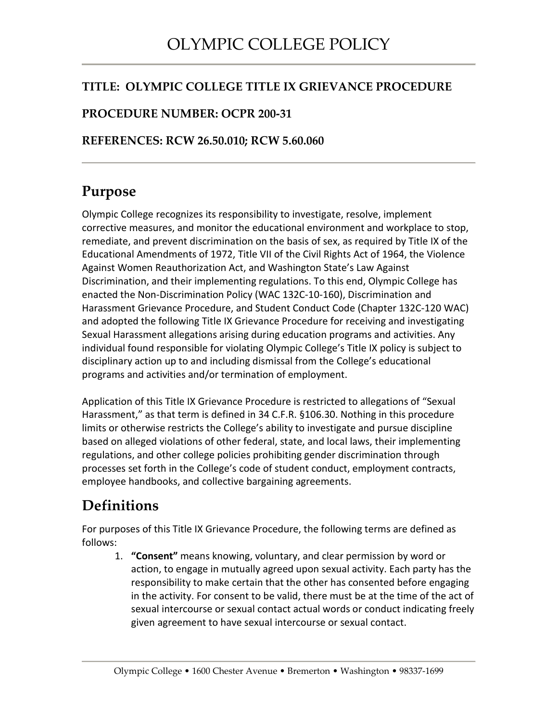#### **TITLE: OLYMPIC COLLEGE TITLE IX GRIEVANCE PROCEDURE**

#### **PROCEDURE NUMBER: OCPR 200-31**

#### **REFERENCES: RCW 26.50.010; RCW 5.60.060**

#### **Purpose**

Olympic College recognizes its responsibility to investigate, resolve, implement corrective measures, and monitor the educational environment and workplace to stop, remediate, and prevent discrimination on the basis of sex, as required by Title IX of the Educational Amendments of 1972, Title VII of the Civil Rights Act of 1964, the Violence Against Women Reauthorization Act, and Washington State's Law Against Discrimination, and their implementing regulations. To this end, Olympic College has enacted the Non-Discrimination Policy (WAC 132C-10-160), Discrimination and Harassment Grievance Procedure, and Student Conduct Code (Chapter 132C-120 WAC) and adopted the following Title IX Grievance Procedure for receiving and investigating Sexual Harassment allegations arising during education programs and activities. Any individual found responsible for violating Olympic College's Title IX policy is subject to disciplinary action up to and including dismissal from the College's educational programs and activities and/or termination of employment.

Application of this Title IX Grievance Procedure is restricted to allegations of "Sexual Harassment," as that term is defined in 34 C.F.R. §106.30. Nothing in this procedure limits or otherwise restricts the College's ability to investigate and pursue discipline based on alleged violations of other federal, state, and local laws, their implementing regulations, and other college policies prohibiting gender discrimination through processes set forth in the College's code of student conduct, employment contracts, employee handbooks, and collective bargaining agreements.

## **Definitions**

For purposes of this Title IX Grievance Procedure, the following terms are defined as follows:

1. **"Consent"** means knowing, voluntary, and clear permission by word or action, to engage in mutually agreed upon sexual activity. Each party has the responsibility to make certain that the other has consented before engaging in the activity. For consent to be valid, there must be at the time of the act of sexual intercourse or sexual contact actual words or conduct indicating freely given agreement to have sexual intercourse or sexual contact.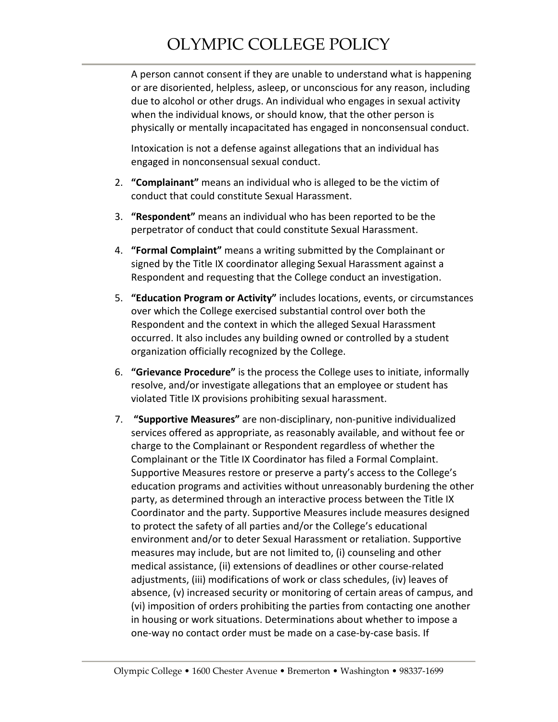A person cannot consent if they are unable to understand what is happening or are disoriented, helpless, asleep, or unconscious for any reason, including due to alcohol or other drugs. An individual who engages in sexual activity when the individual knows, or should know, that the other person is physically or mentally incapacitated has engaged in nonconsensual conduct.

Intoxication is not a defense against allegations that an individual has engaged in nonconsensual sexual conduct.

- 2. **"Complainant"** means an individual who is alleged to be the victim of conduct that could constitute Sexual Harassment.
- 3. **"Respondent"** means an individual who has been reported to be the perpetrator of conduct that could constitute Sexual Harassment.
- 4. **"Formal Complaint"** means a writing submitted by the Complainant or signed by the Title IX coordinator alleging Sexual Harassment against a Respondent and requesting that the College conduct an investigation.
- 5. **"Education Program or Activity"** includes locations, events, or circumstances over which the College exercised substantial control over both the Respondent and the context in which the alleged Sexual Harassment occurred. It also includes any building owned or controlled by a student organization officially recognized by the College.
- 6. **"Grievance Procedure"** is the process the College uses to initiate, informally resolve, and/or investigate allegations that an employee or student has violated Title IX provisions prohibiting sexual harassment.
- 7. **"Supportive Measures"** are non-disciplinary, non-punitive individualized services offered as appropriate, as reasonably available, and without fee or charge to the Complainant or Respondent regardless of whether the Complainant or the Title IX Coordinator has filed a Formal Complaint. Supportive Measures restore or preserve a party's access to the College's education programs and activities without unreasonably burdening the other party, as determined through an interactive process between the Title IX Coordinator and the party. Supportive Measures include measures designed to protect the safety of all parties and/or the College's educational environment and/or to deter Sexual Harassment or retaliation. Supportive measures may include, but are not limited to, (i) counseling and other medical assistance, (ii) extensions of deadlines or other course-related adjustments, (iii) modifications of work or class schedules, (iv) leaves of absence, (v) increased security or monitoring of certain areas of campus, and (vi) imposition of orders prohibiting the parties from contacting one another in housing or work situations. Determinations about whether to impose a one-way no contact order must be made on a case-by-case basis. If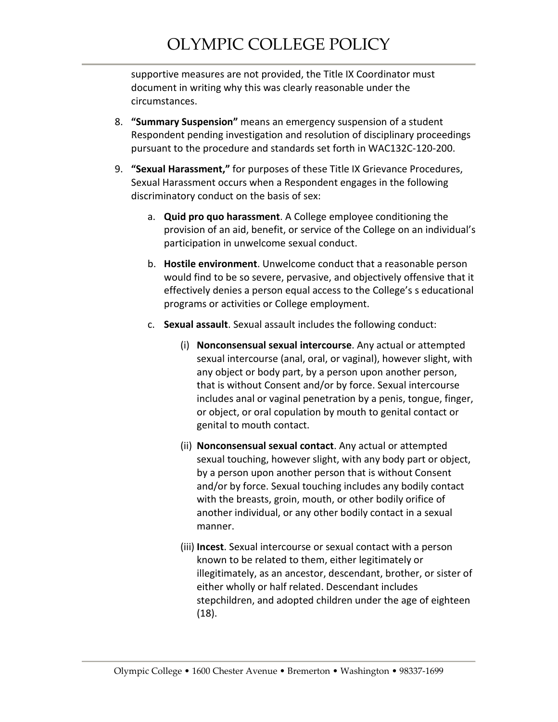supportive measures are not provided, the Title IX Coordinator must document in writing why this was clearly reasonable under the circumstances.

- 8. **"Summary Suspension"** means an emergency suspension of a student Respondent pending investigation and resolution of disciplinary proceedings pursuant to the procedure and standards set forth in WAC132C-120-200.
- 9. **"Sexual Harassment,"** for purposes of these Title IX Grievance Procedures, Sexual Harassment occurs when a Respondent engages in the following discriminatory conduct on the basis of sex:
	- a. **Quid pro quo harassment**. A College employee conditioning the provision of an aid, benefit, or service of the College on an individual's participation in unwelcome sexual conduct.
	- b. **Hostile environment**. Unwelcome conduct that a reasonable person would find to be so severe, pervasive, and objectively offensive that it effectively denies a person equal access to the College's s educational programs or activities or College employment.
	- c. **Sexual assault**. Sexual assault includes the following conduct:
		- (i) **Nonconsensual sexual intercourse**. Any actual or attempted sexual intercourse (anal, oral, or vaginal), however slight, with any object or body part, by a person upon another person, that is without Consent and/or by force. Sexual intercourse includes anal or vaginal penetration by a penis, tongue, finger, or object, or oral copulation by mouth to genital contact or genital to mouth contact.
		- (ii) **Nonconsensual sexual contact**. Any actual or attempted sexual touching, however slight, with any body part or object, by a person upon another person that is without Consent and/or by force. Sexual touching includes any bodily contact with the breasts, groin, mouth, or other bodily orifice of another individual, or any other bodily contact in a sexual manner.
		- (iii) **Incest**. Sexual intercourse or sexual contact with a person known to be related to them, either legitimately or illegitimately, as an ancestor, descendant, brother, or sister of either wholly or half related. Descendant includes stepchildren, and adopted children under the age of eighteen (18).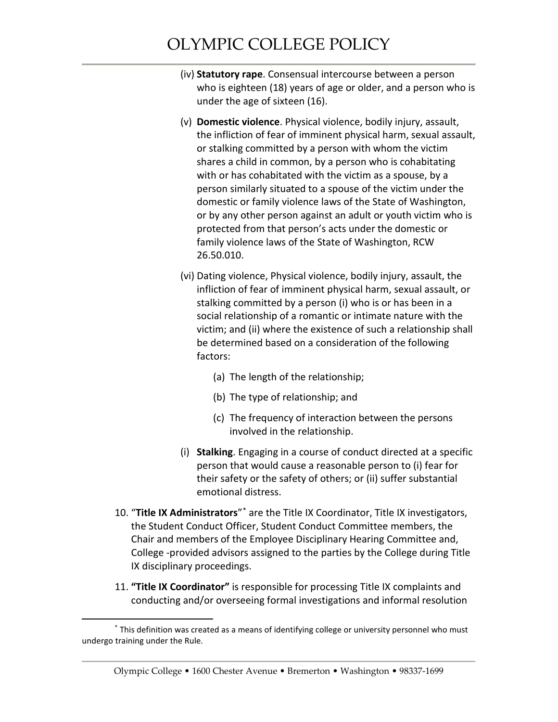- (iv) **Statutory rape**. Consensual intercourse between a person who is eighteen (18) years of age or older, and a person who is under the age of sixteen (16).
- (v) **Domestic violence**. Physical violence, bodily injury, assault, the infliction of fear of imminent physical harm, sexual assault, or stalking committed by a person with whom the victim shares a child in common, by a person who is cohabitating with or has cohabitated with the victim as a spouse, by a person similarly situated to a spouse of the victim under the domestic or family violence laws of the State of Washington, or by any other person against an adult or youth victim who is protected from that person's acts under the domestic or family violence laws of the State of Washington, RCW 26.50.010.
- (vi) Dating violence, Physical violence, bodily injury, assault, the infliction of fear of imminent physical harm, sexual assault, or stalking committed by a person (i) who is or has been in a social relationship of a romantic or intimate nature with the victim; and (ii) where the existence of such a relationship shall be determined based on a consideration of the following factors:
	- (a) The length of the relationship;
	- (b) The type of relationship; and
	- (c) The frequency of interaction between the persons involved in the relationship.
- (i) **Stalking**. Engaging in a course of conduct directed at a specific person that would cause a reasonable person to (i) fear for their safety or the safety of others; or (ii) suffer substantial emotional distress.
- 10. "**Title IX Administrators**["\\*](#page-3-0) are the Title IX Coordinator, Title IX investigators, the Student Conduct Officer, Student Conduct Committee members, the Chair and members of the Employee Disciplinary Hearing Committee and, College -provided advisors assigned to the parties by the College during Title IX disciplinary proceedings.
- 11. **"Title IX Coordinator"** is responsible for processing Title IX complaints and conducting and/or overseeing formal investigations and informal resolution

 $\overline{a}$ 

<span id="page-3-0"></span><sup>\*</sup> This definition was created as a means of identifying college or university personnel who must undergo training under the Rule.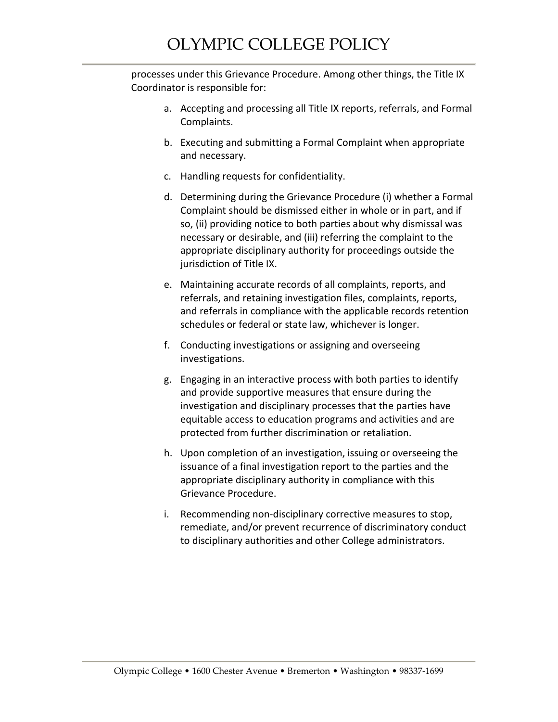processes under this Grievance Procedure. Among other things, the Title IX Coordinator is responsible for:

- a. Accepting and processing all Title IX reports, referrals, and Formal Complaints.
- b. Executing and submitting a Formal Complaint when appropriate and necessary.
- c. Handling requests for confidentiality.
- d. Determining during the Grievance Procedure (i) whether a Formal Complaint should be dismissed either in whole or in part, and if so, (ii) providing notice to both parties about why dismissal was necessary or desirable, and (iii) referring the complaint to the appropriate disciplinary authority for proceedings outside the jurisdiction of Title IX.
- e. Maintaining accurate records of all complaints, reports, and referrals, and retaining investigation files, complaints, reports, and referrals in compliance with the applicable records retention schedules or federal or state law, whichever is longer.
- f. Conducting investigations or assigning and overseeing investigations.
- g. Engaging in an interactive process with both parties to identify and provide supportive measures that ensure during the investigation and disciplinary processes that the parties have equitable access to education programs and activities and are protected from further discrimination or retaliation.
- h. Upon completion of an investigation, issuing or overseeing the issuance of a final investigation report to the parties and the appropriate disciplinary authority in compliance with this Grievance Procedure.
- i. Recommending non-disciplinary corrective measures to stop, remediate, and/or prevent recurrence of discriminatory conduct to disciplinary authorities and other College administrators.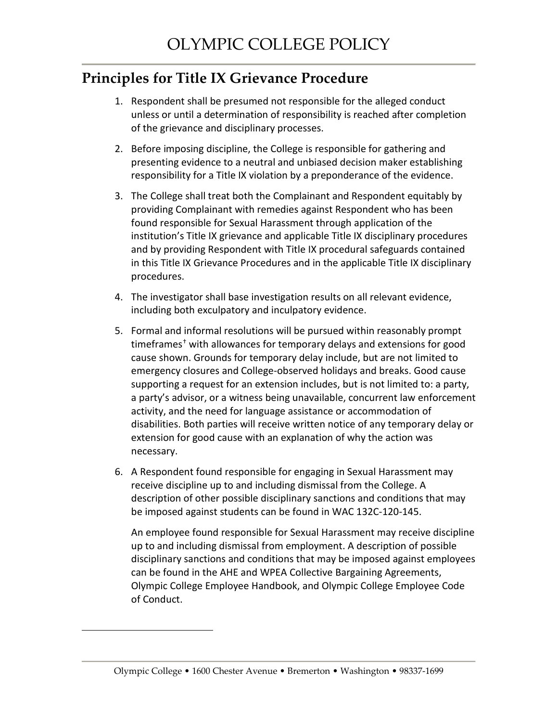### **Principles for Title IX Grievance Procedure**

- 1. Respondent shall be presumed not responsible for the alleged conduct unless or until a determination of responsibility is reached after completion of the grievance and disciplinary processes.
- 2. Before imposing discipline, the College is responsible for gathering and presenting evidence to a neutral and unbiased decision maker establishing responsibility for a Title IX violation by a preponderance of the evidence.
- 3. The College shall treat both the Complainant and Respondent equitably by providing Complainant with remedies against Respondent who has been found responsible for Sexual Harassment through application of the institution's Title IX grievance and applicable Title IX disciplinary procedures and by providing Respondent with Title IX procedural safeguards contained in this Title IX Grievance Procedures and in the applicable Title IX disciplinary procedures.
- 4. The investigator shall base investigation results on all relevant evidence, including both exculpatory and inculpatory evidence.
- 5. Formal and informal resolutions will be pursued within reasonably prompt timeframes[†](#page-5-0) with allowances for temporary delays and extensions for good cause shown. Grounds for temporary delay include, but are not limited to emergency closures and College-observed holidays and breaks. Good cause supporting a request for an extension includes, but is not limited to: a party, a party's advisor, or a witness being unavailable, concurrent law enforcement activity, and the need for language assistance or accommodation of disabilities. Both parties will receive written notice of any temporary delay or extension for good cause with an explanation of why the action was necessary.
- 6. A Respondent found responsible for engaging in Sexual Harassment may receive discipline up to and including dismissal from the College. A description of other possible disciplinary sanctions and conditions that may be imposed against students can be found in WAC 132C-120-145.

An employee found responsible for Sexual Harassment may receive discipline up to and including dismissal from employment. A description of possible disciplinary sanctions and conditions that may be imposed against employees can be found in the AHE and WPEA Collective Bargaining Agreements, Olympic College Employee Handbook, and Olympic College Employee Code of Conduct.

<span id="page-5-0"></span> $\overline{a}$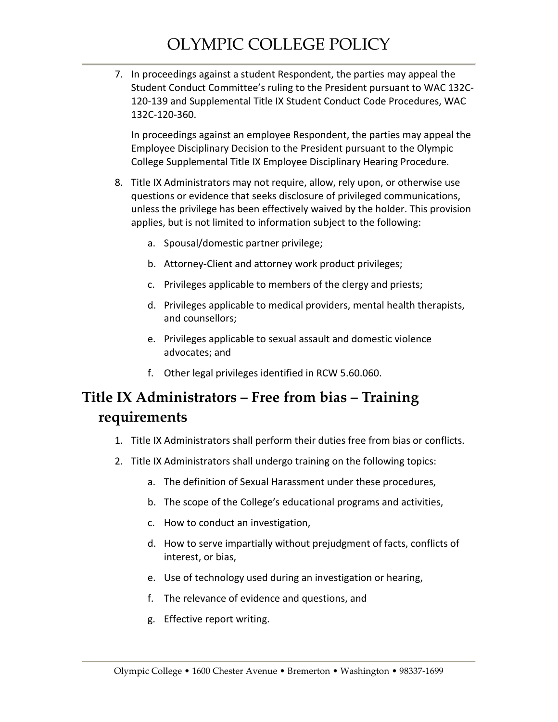7. In proceedings against a student Respondent, the parties may appeal the Student Conduct Committee's ruling to the President pursuant to WAC 132C-120-139 and Supplemental Title IX Student Conduct Code Procedures, WAC 132C-120-360.

In proceedings against an employee Respondent, the parties may appeal the Employee Disciplinary Decision to the President pursuant to the Olympic College Supplemental Title IX Employee Disciplinary Hearing Procedure.

- 8. Title IX Administrators may not require, allow, rely upon, or otherwise use questions or evidence that seeks disclosure of privileged communications, unless the privilege has been effectively waived by the holder. This provision applies, but is not limited to information subject to the following:
	- a. Spousal/domestic partner privilege;
	- b. Attorney-Client and attorney work product privileges;
	- c. Privileges applicable to members of the clergy and priests;
	- d. Privileges applicable to medical providers, mental health therapists, and counsellors;
	- e. Privileges applicable to sexual assault and domestic violence advocates; and
	- f. Other legal privileges identified in RCW 5.60.060.

## **Title IX Administrators – Free from bias – Training requirements**

- 1. Title IX Administrators shall perform their duties free from bias or conflicts.
- 2. Title IX Administrators shall undergo training on the following topics:
	- a. The definition of Sexual Harassment under these procedures,
	- b. The scope of the College's educational programs and activities,
	- c. How to conduct an investigation,
	- d. How to serve impartially without prejudgment of facts, conflicts of interest, or bias,
	- e. Use of technology used during an investigation or hearing,
	- f. The relevance of evidence and questions, and
	- g. Effective report writing.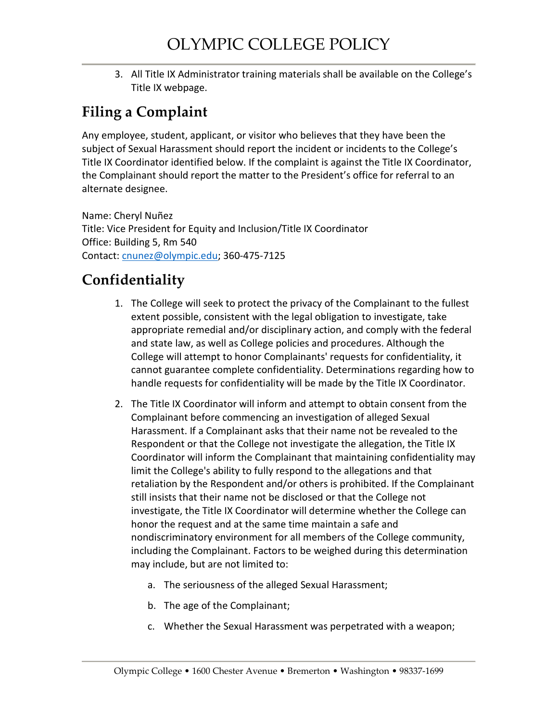3. All Title IX Administrator training materials shall be available on the College's Title IX webpage.

## **Filing a Complaint**

Any employee, student, applicant, or visitor who believes that they have been the subject of Sexual Harassment should report the incident or incidents to the College's Title IX Coordinator identified below. If the complaint is against the Title IX Coordinator, the Complainant should report the matter to the President's office for referral to an alternate designee.

Name: Cheryl Nuñez Title: Vice President for Equity and Inclusion/Title IX Coordinator Office: Building 5, Rm 540 Contact: [cnunez@olympic.edu;](mailto:cnunez@olympic.edu) 360-475-7125

## **Confidentiality**

- 1. The College will seek to protect the privacy of the Complainant to the fullest extent possible, consistent with the legal obligation to investigate, take appropriate remedial and/or disciplinary action, and comply with the federal and state law, as well as College policies and procedures. Although the College will attempt to honor Complainants' requests for confidentiality, it cannot guarantee complete confidentiality. Determinations regarding how to handle requests for confidentiality will be made by the Title IX Coordinator.
- 2. The Title IX Coordinator will inform and attempt to obtain consent from the Complainant before commencing an investigation of alleged Sexual Harassment. If a Complainant asks that their name not be revealed to the Respondent or that the College not investigate the allegation, the Title IX Coordinator will inform the Complainant that maintaining confidentiality may limit the College's ability to fully respond to the allegations and that retaliation by the Respondent and/or others is prohibited. If the Complainant still insists that their name not be disclosed or that the College not investigate, the Title IX Coordinator will determine whether the College can honor the request and at the same time maintain a safe and nondiscriminatory environment for all members of the College community, including the Complainant. Factors to be weighed during this determination may include, but are not limited to:
	- a. The seriousness of the alleged Sexual Harassment;
	- b. The age of the Complainant;
	- c. Whether the Sexual Harassment was perpetrated with a weapon;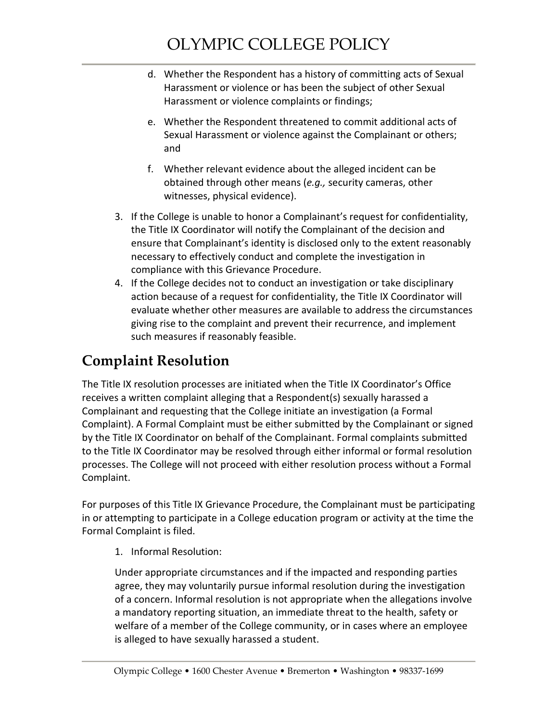- d. Whether the Respondent has a history of committing acts of Sexual Harassment or violence or has been the subject of other Sexual Harassment or violence complaints or findings;
- e. Whether the Respondent threatened to commit additional acts of Sexual Harassment or violence against the Complainant or others; and
- f. Whether relevant evidence about the alleged incident can be obtained through other means (*e.g.,* security cameras, other witnesses, physical evidence).
- 3. If the College is unable to honor a Complainant's request for confidentiality, the Title IX Coordinator will notify the Complainant of the decision and ensure that Complainant's identity is disclosed only to the extent reasonably necessary to effectively conduct and complete the investigation in compliance with this Grievance Procedure.
- 4. If the College decides not to conduct an investigation or take disciplinary action because of a request for confidentiality, the Title IX Coordinator will evaluate whether other measures are available to address the circumstances giving rise to the complaint and prevent their recurrence, and implement such measures if reasonably feasible.

# **Complaint Resolution**

The Title IX resolution processes are initiated when the Title IX Coordinator's Office receives a written complaint alleging that a Respondent(s) sexually harassed a Complainant and requesting that the College initiate an investigation (a Formal Complaint). A Formal Complaint must be either submitted by the Complainant or signed by the Title IX Coordinator on behalf of the Complainant. Formal complaints submitted to the Title IX Coordinator may be resolved through either informal or formal resolution processes. The College will not proceed with either resolution process without a Formal Complaint.

For purposes of this Title IX Grievance Procedure, the Complainant must be participating in or attempting to participate in a College education program or activity at the time the Formal Complaint is filed.

1. Informal Resolution:

Under appropriate circumstances and if the impacted and responding parties agree, they may voluntarily pursue informal resolution during the investigation of a concern. Informal resolution is not appropriate when the allegations involve a mandatory reporting situation, an immediate threat to the health, safety or welfare of a member of the College community, or in cases where an employee is alleged to have sexually harassed a student.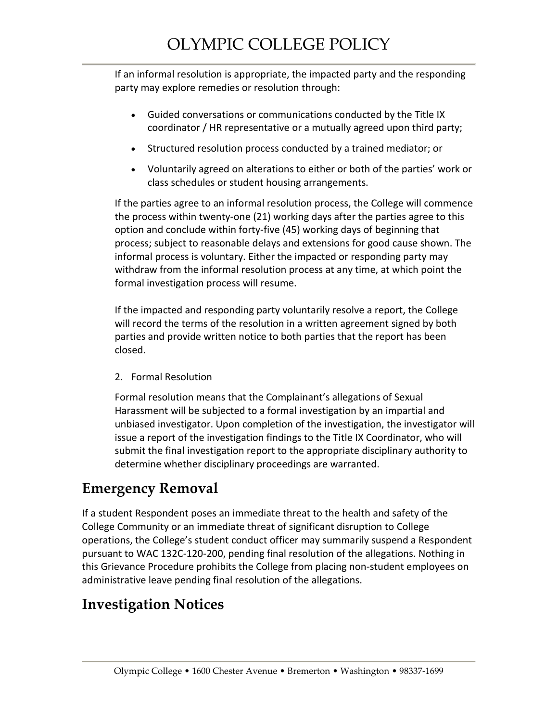If an informal resolution is appropriate, the impacted party and the responding party may explore remedies or resolution through:

- Guided conversations or communications conducted by the Title IX coordinator / HR representative or a mutually agreed upon third party;
- Structured resolution process conducted by a trained mediator; or
- Voluntarily agreed on alterations to either or both of the parties' work or class schedules or student housing arrangements.

If the parties agree to an informal resolution process, the College will commence the process within twenty-one (21) working days after the parties agree to this option and conclude within forty-five (45) working days of beginning that process; subject to reasonable delays and extensions for good cause shown. The informal process is voluntary. Either the impacted or responding party may withdraw from the informal resolution process at any time, at which point the formal investigation process will resume.

If the impacted and responding party voluntarily resolve a report, the College will record the terms of the resolution in a written agreement signed by both parties and provide written notice to both parties that the report has been closed.

2. Formal Resolution

Formal resolution means that the Complainant's allegations of Sexual Harassment will be subjected to a formal investigation by an impartial and unbiased investigator. Upon completion of the investigation, the investigator will issue a report of the investigation findings to the Title IX Coordinator, who will submit the final investigation report to the appropriate disciplinary authority to determine whether disciplinary proceedings are warranted.

### **Emergency Removal**

If a student Respondent poses an immediate threat to the health and safety of the College Community or an immediate threat of significant disruption to College operations, the College's student conduct officer may summarily suspend a Respondent pursuant to WAC 132C-120-200, pending final resolution of the allegations. Nothing in this Grievance Procedure prohibits the College from placing non-student employees on administrative leave pending final resolution of the allegations.

## **Investigation Notices**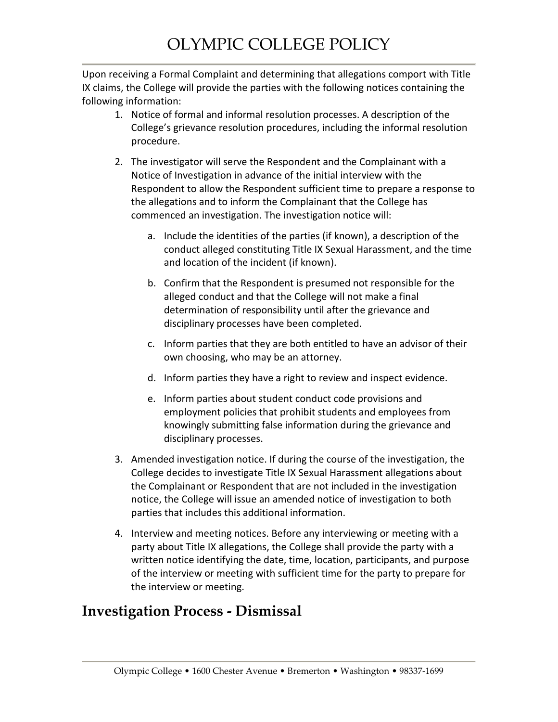Upon receiving a Formal Complaint and determining that allegations comport with Title IX claims, the College will provide the parties with the following notices containing the following information:

- 1. Notice of formal and informal resolution processes. A description of the College's grievance resolution procedures, including the informal resolution procedure.
- 2. The investigator will serve the Respondent and the Complainant with a Notice of Investigation in advance of the initial interview with the Respondent to allow the Respondent sufficient time to prepare a response to the allegations and to inform the Complainant that the College has commenced an investigation. The investigation notice will:
	- a. Include the identities of the parties (if known), a description of the conduct alleged constituting Title IX Sexual Harassment, and the time and location of the incident (if known).
	- b. Confirm that the Respondent is presumed not responsible for the alleged conduct and that the College will not make a final determination of responsibility until after the grievance and disciplinary processes have been completed.
	- c. Inform parties that they are both entitled to have an advisor of their own choosing, who may be an attorney.
	- d. Inform parties they have a right to review and inspect evidence.
	- e. Inform parties about student conduct code provisions and employment policies that prohibit students and employees from knowingly submitting false information during the grievance and disciplinary processes.
- 3. Amended investigation notice. If during the course of the investigation, the College decides to investigate Title IX Sexual Harassment allegations about the Complainant or Respondent that are not included in the investigation notice, the College will issue an amended notice of investigation to both parties that includes this additional information.
- 4. Interview and meeting notices. Before any interviewing or meeting with a party about Title IX allegations, the College shall provide the party with a written notice identifying the date, time, location, participants, and purpose of the interview or meeting with sufficient time for the party to prepare for the interview or meeting.

## **Investigation Process - Dismissal**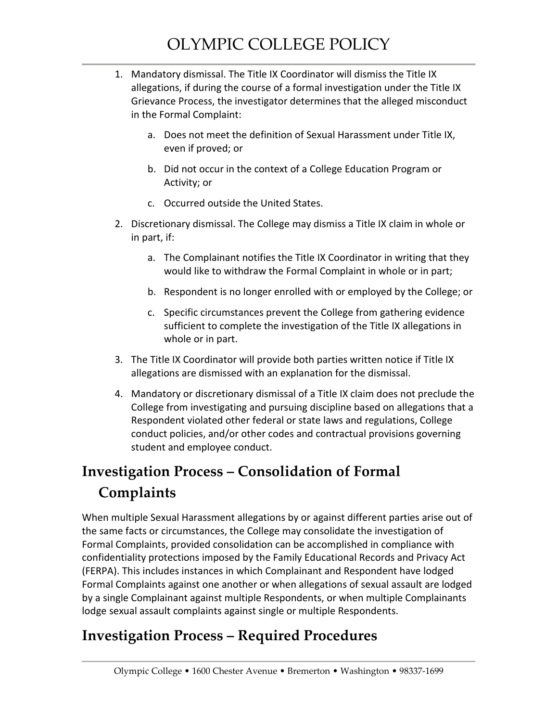- 1. Mandatory dismissal. The Title IX Coordinator will dismiss the Title IX allegations, if during the course of a formal investigation under the Title IX Grievance Process, the investigator determines that the alleged misconduct in the Formal Complaint:
	- a. Does not meet the definition of Sexual Harassment under Title IX, even if proved; or
	- b. Did not occur in the context of a College Education Program or Activity; or
	- c. Occurred outside the United States.
- 2. Discretionary dismissal. The College may dismiss a Title IX claim in whole or in part, if:
	- a. The Complainant notifies the Title IX Coordinator in writing that they would like to withdraw the Formal Complaint in whole or in part;
	- b. Respondent is no longer enrolled with or employed by the College; or
	- c. Specific circumstances prevent the College from gathering evidence sufficient to complete the investigation of the Title IX allegations in whole or in part.
- 3. The Title IX Coordinator will provide both parties written notice if Title IX allegations are dismissed with an explanation for the dismissal.
- 4. Mandatory or discretionary dismissal of a Title IX claim does not preclude the College from investigating and pursuing discipline based on allegations that a Respondent violated other federal or state laws and regulations, College conduct policies, and/or other codes and contractual provisions governing student and employee conduct.

# **Investigation Process – Consolidation of Formal Complaints**

When multiple Sexual Harassment allegations by or against different parties arise out of the same facts or circumstances, the College may consolidate the investigation of Formal Complaints, provided consolidation can be accomplished in compliance with confidentiality protections imposed by the Family Educational Records and Privacy Act (FERPA). This includes instances in which Complainant and Respondent have lodged Formal Complaints against one another or when allegations of sexual assault are lodged by a single Complainant against multiple Respondents, or when multiple Complainants lodge sexual assault complaints against single or multiple Respondents.

### **Investigation Process – Required Procedures**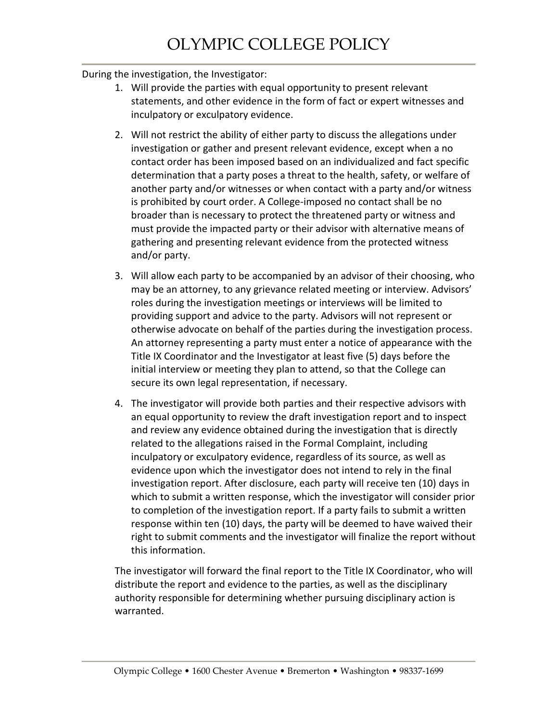#### During the investigation, the Investigator:

- 1. Will provide the parties with equal opportunity to present relevant statements, and other evidence in the form of fact or expert witnesses and inculpatory or exculpatory evidence.
- 2. Will not restrict the ability of either party to discuss the allegations under investigation or gather and present relevant evidence, except when a no contact order has been imposed based on an individualized and fact specific determination that a party poses a threat to the health, safety, or welfare of another party and/or witnesses or when contact with a party and/or witness is prohibited by court order. A College-imposed no contact shall be no broader than is necessary to protect the threatened party or witness and must provide the impacted party or their advisor with alternative means of gathering and presenting relevant evidence from the protected witness and/or party.
- 3. Will allow each party to be accompanied by an advisor of their choosing, who may be an attorney, to any grievance related meeting or interview. Advisors' roles during the investigation meetings or interviews will be limited to providing support and advice to the party. Advisors will not represent or otherwise advocate on behalf of the parties during the investigation process. An attorney representing a party must enter a notice of appearance with the Title IX Coordinator and the Investigator at least five (5) days before the initial interview or meeting they plan to attend, so that the College can secure its own legal representation, if necessary.
- 4. The investigator will provide both parties and their respective advisors with an equal opportunity to review the draft investigation report and to inspect and review any evidence obtained during the investigation that is directly related to the allegations raised in the Formal Complaint, including inculpatory or exculpatory evidence, regardless of its source, as well as evidence upon which the investigator does not intend to rely in the final investigation report. After disclosure, each party will receive ten (10) days in which to submit a written response, which the investigator will consider prior to completion of the investigation report. If a party fails to submit a written response within ten (10) days, the party will be deemed to have waived their right to submit comments and the investigator will finalize the report without this information.

The investigator will forward the final report to the Title IX Coordinator, who will distribute the report and evidence to the parties, as well as the disciplinary authority responsible for determining whether pursuing disciplinary action is warranted.